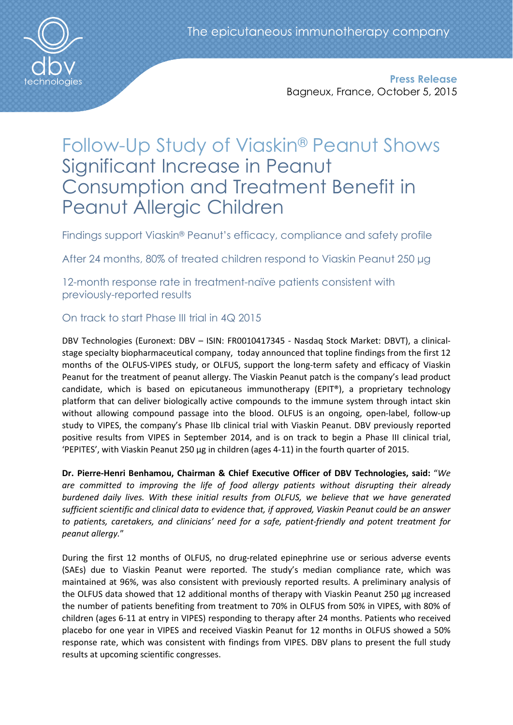

Press Release Bagneux, France, October 5, 2015

# Follow-Up Study of Viaskin® Peanut Shows Significant Increase in Peanut Consumption and Treatment Benefit in Peanut Allergic Children

Findings support Viaskin® Peanut's efficacy, compliance and safety profile

After 24 months, 80% of treated children respond to Viaskin Peanut 250 μg

12-month response rate in treatment-naïve patients consistent with previously-reported results

# On track to start Phase III trial in 4Q 2015

DBV Technologies (Euronext: DBV – ISIN: FR0010417345 - Nasdaq Stock Market: DBVT), a clinicalstage specialty biopharmaceutical company, today announced that topline findings from the first 12 months of the OLFUS-VIPES study, or OLFUS, support the long-term safety and efficacy of Viaskin Peanut for the treatment of peanut allergy. The Viaskin Peanut patch is the company's lead product candidate, which is based on epicutaneous immunotherapy (EPIT®), a proprietary technology platform that can deliver biologically active compounds to the immune system through intact skin without allowing compound passage into the blood. OLFUS is an ongoing, open-label, follow-up study to VIPES, the company's Phase IIb clinical trial with Viaskin Peanut. DBV previously reported positive results from VIPES in September 2014, and is on track to begin a Phase III clinical trial, 'PEPITES', with Viaskin Peanut 250 μg in children (ages 4-11) in the fourth quarter of 2015.

Dr. Pierre-Henri Benhamou, Chairman & Chief Executive Officer of DBV Technologies, said: "*We are committed to improving the life of food allergy patients without disrupting their already burdened daily lives. With these initial results from OLFUS, we believe that we have generated sufficient scientific and clinical data to evidence that, if approved, Viaskin Peanut could be an answer to patients, caretakers, and clinicians' need for a safe, patient-friendly and potent treatment for peanut allergy.*"

During the first 12 months of OLFUS, no drug-related epinephrine use or serious adverse events (SAEs) due to Viaskin Peanut were reported. The study's median compliance rate, which was maintained at 96%, was also consistent with previously reported results. A preliminary analysis of the OLFUS data showed that 12 additional months of therapy with Viaskin Peanut 250 μg increased the number of patients benefiting from treatment to 70% in OLFUS from 50% in VIPES, with 80% of children (ages 6-11 at entry in VIPES) responding to therapy after 24 months. Patients who received placebo for one year in VIPES and received Viaskin Peanut for 12 months in OLFUS showed a 50% response rate, which was consistent with findings from VIPES. DBV plans to present the full study results at upcoming scientific congresses.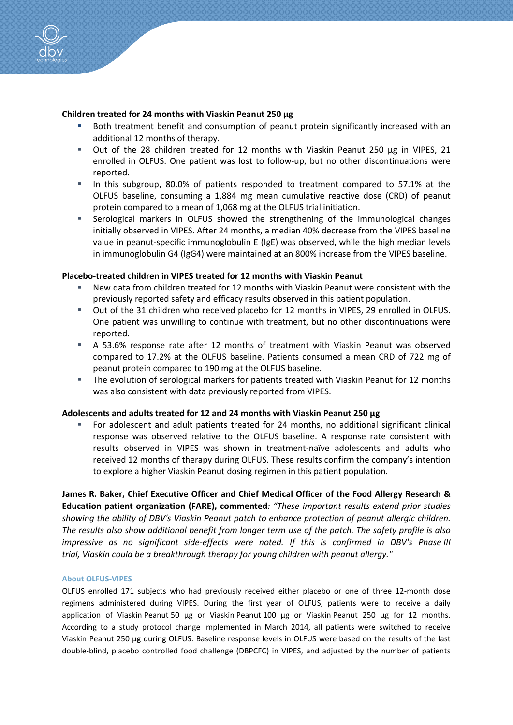# Children treated for 24 months with Viaskin Peanut 250 μg

- Both treatment benefit and consumption of peanut protein significantly increased with an additional 12 months of therapy.
- Out of the 28 children treated for 12 months with Viaskin Peanut 250 µg in VIPES, 21 enrolled in OLFUS. One patient was lost to follow-up, but no other discontinuations were reported.
- In this subgroup, 80.0% of patients responded to treatment compared to 57.1% at the OLFUS baseline, consuming a 1,884 mg mean cumulative reactive dose (CRD) of peanut protein compared to a mean of 1,068 mg at the OLFUS trial initiation.
- Serological markers in OLFUS showed the strengthening of the immunological changes initially observed in VIPES. After 24 months, a median 40% decrease from the VIPES baseline value in peanut-specific immunoglobulin E (IgE) was observed, while the high median levels in immunoglobulin G4 (IgG4) were maintained at an 800% increase from the VIPES baseline.

## Placebo-treated children in VIPES treated for 12 months with Viaskin Peanut

- New data from children treated for 12 months with Viaskin Peanut were consistent with the previously reported safety and efficacy results observed in this patient population.
- Out of the 31 children who received placebo for 12 months in VIPES, 29 enrolled in OLFUS. One patient was unwilling to continue with treatment, but no other discontinuations were reported.
- A 53.6% response rate after 12 months of treatment with Viaskin Peanut was observed compared to 17.2% at the OLFUS baseline. Patients consumed a mean CRD of 722 mg of peanut protein compared to 190 mg at the OLFUS baseline.
- The evolution of serological markers for patients treated with Viaskin Peanut for 12 months was also consistent with data previously reported from VIPES.

## Adolescents and adults treated for 12 and 24 months with Viaskin Peanut 250 μg

 For adolescent and adult patients treated for 24 months, no additional significant clinical response was observed relative to the OLFUS baseline. A response rate consistent with results observed in VIPES was shown in treatment-naïve adolescents and adults who received 12 months of therapy during OLFUS. These results confirm the company's intention to explore a higher Viaskin Peanut dosing regimen in this patient population.

James R. Baker, Chief Executive Officer and Chief Medical Officer of the Food Allergy Research & Education patient organization (FARE), commented*: "These important results extend prior studies showing the ability of DBV's Viaskin Peanut patch to enhance protection of peanut allergic children. The results also show additional benefit from longer term use of the patch. The safety profile is also impressive as no significant side-effects were noted. If this is confirmed in DBV's Phase III trial, Viaskin could be a breakthrough therapy for young children with peanut allergy."*

#### About OLFUS-VIPES

OLFUS enrolled 171 subjects who had previously received either placebo or one of three 12-month dose regimens administered during VIPES. During the first year of OLFUS, patients were to receive a daily application of Viaskin Peanut 50 µg or Viaskin Peanut 100 µg or Viaskin Peanut 250 µg for 12 months. According to a study protocol change implemented in March 2014, all patients were switched to receive Viaskin Peanut 250 μg during OLFUS. Baseline response levels in OLFUS were based on the results of the last double-blind, placebo controlled food challenge (DBPCFC) in VIPES, and adjusted by the number of patients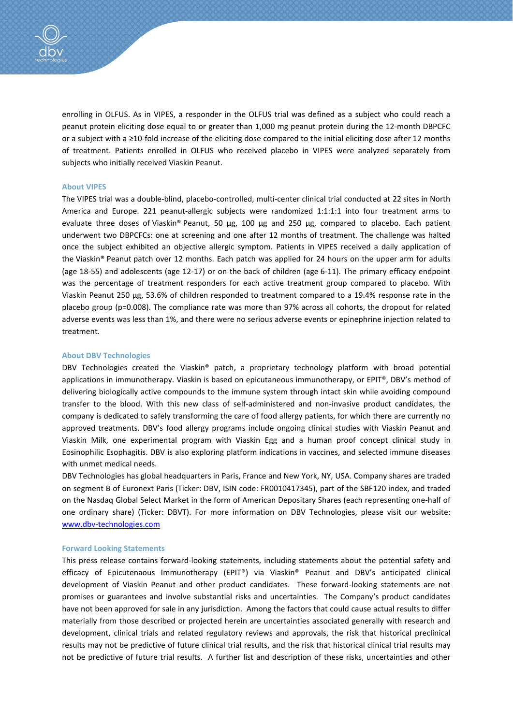

enrolling in OLFUS. As in VIPES, a responder in the OLFUS trial was defined as a subject who could reach a peanut protein eliciting dose equal to or greater than 1,000 mg peanut protein during the 12-month DBPCFC or a subject with a ≥10-fold increase of the eliciting dose compared to the initial eliciting dose after 12 months of treatment. Patients enrolled in OLFUS who received placebo in VIPES were analyzed separately from subjects who initially received Viaskin Peanut.

#### About VIPES

The VIPES trial was a double-blind, placebo-controlled, multi-center clinical trial conducted at 22 sites in North America and Europe. 221 peanut-allergic subjects were randomized 1:1:1:1 into four treatment arms to evaluate three doses of Viaskin® Peanut, 50 µg, 100 µg and 250 µg, compared to placebo. Each patient underwent two DBPCFCs: one at screening and one after 12 months of treatment. The challenge was halted once the subject exhibited an objective allergic symptom. Patients in VIPES received a daily application of the Viaskin® Peanut patch over 12 months. Each patch was applied for 24 hours on the upper arm for adults (age 18-55) and adolescents (age 12-17) or on the back of children (age 6-11). The primary efficacy endpoint was the percentage of treatment responders for each active treatment group compared to placebo. With Viaskin Peanut 250 µg, 53.6% of children responded to treatment compared to a 19.4% response rate in the placebo group (p=0.008). The compliance rate was more than 97% across all cohorts, the dropout for related adverse events was less than 1%, and there were no serious adverse events or epinephrine injection related to treatment.

#### About DBV Technologies

DBV Technologies created the Viaskin® patch, a proprietary technology platform with broad potential applications in immunotherapy. Viaskin is based on epicutaneous immunotherapy, or EPIT®, DBV's method of delivering biologically active compounds to the immune system through intact skin while avoiding compound transfer to the blood. With this new class of self-administered and non-invasive product candidates, the company is dedicated to safely transforming the care of food allergy patients, for which there are currently no approved treatments. DBV's food allergy programs include ongoing clinical studies with Viaskin Peanut and Viaskin Milk, one experimental program with Viaskin Egg and a human proof concept clinical study in Eosinophilic Esophagitis. DBV is also exploring platform indications in vaccines, and selected immune diseases with unmet medical needs.

DBV Technologies has global headquarters in Paris, France and New York, NY, USA. Company shares are traded on segment B of Euronext Paris (Ticker: DBV, ISIN code: FR0010417345), part of the SBF120 index, and traded on the Nasdaq Global Select Market in the form of American Depositary Shares (each representing one-half of one ordinary share) (Ticker: DBVT). For more information on DBV Technologies, please visit our website: www.dbv-technologies.com

#### Forward Looking Statements

This press release contains forward-looking statements, including statements about the potential safety and efficacy of Epicutenaous Immunotherapy (EPIT®) via Viaskin® Peanut and DBV's anticipated clinical development of Viaskin Peanut and other product candidates. These forward-looking statements are not promises or guarantees and involve substantial risks and uncertainties. The Company's product candidates have not been approved for sale in any jurisdiction. Among the factors that could cause actual results to differ materially from those described or projected herein are uncertainties associated generally with research and development, clinical trials and related regulatory reviews and approvals, the risk that historical preclinical results may not be predictive of future clinical trial results, and the risk that historical clinical trial results may not be predictive of future trial results. A further list and description of these risks, uncertainties and other